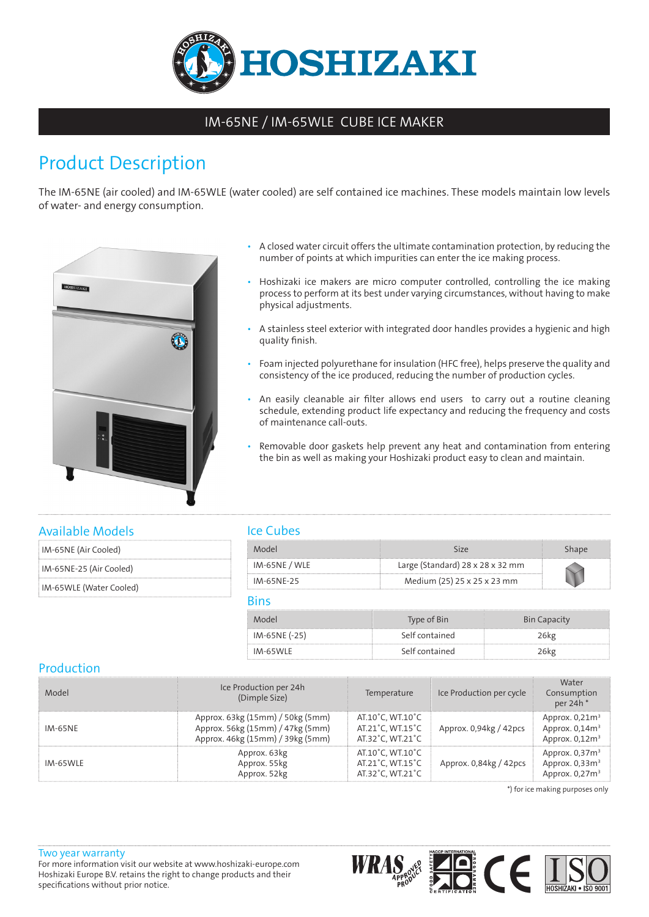

## IM-65NE / IM-65WLE CUBE ICE MAKER

# Product Description

The IM-65NE (air cooled) and IM-65WLE (water cooled) are self contained ice machines. These models maintain low levels of water- and energy consumption.



- A closed water circuit offers the ultimate contamination protection, by reducing the number of points at which impurities can enter the ice making process.
- Hoshizaki ice makers are micro computer controlled, controlling the ice making process to perform at its best under varying circumstances, without having to make physical adjustments.
- A stainless steel exterior with integrated door handles provides a hygienic and high quality finish.
- Foam injected polyurethane for insulation (HFC free), helps preserve the quality and consistency of the ice produced, reducing the number of production cycles.
- An easily cleanable air filter allows end users to carry out a routine cleaning schedule, extending product life expectancy and reducing the frequency and costs of maintenance call-outs.
- Removable door gaskets help prevent any heat and contamination from entering the bin as well as making your Hoshizaki product easy to clean and maintain.

#### Available Models

| IM-65NE (Air Cooled) |
|----------------------|
|                      |

IM-65NE-25 (Air Cooled)

IM-65WLE (Water Cooled)

### Ice Cubes

| Model         |                                              |  |
|---------------|----------------------------------------------|--|
| IM-65NE / WLE | Large (Standard) $28 \times 28 \times 32$ mm |  |
| IM-65NF-25    | Medium (25) 25 x 25 x 23 mm                  |  |

#### Bins

| Model         | Type of Bin    | <b>Bin Capacity</b> |
|---------------|----------------|---------------------|
| IM-65NE (-25) | Self contained | '6kø                |
| IM-65WLE      | Self contained | '6ko                |

### Production

| Model    | Ice Production per 24h<br>(Dimple Size)                                                                  | Temperature                                              | Ice Production per cycle | Water<br>Consumption<br>per 24h                          |
|----------|----------------------------------------------------------------------------------------------------------|----------------------------------------------------------|--------------------------|----------------------------------------------------------|
| IM-65NE  | Approx. 63kg (15mm) / 50kg (5mm)<br>Approx. 56kg (15mm) / 47kg (5mm)<br>Approx. 46kg (15mm) / 39kg (5mm) | AT.10°C. WT.10°C<br>AT.21°C. WT.15°C<br>AT.32°C, WT.21°C | Approx. 0.94kg / 42pcs   | Approx. $0,21m3$<br>Approx. $0.14m3$<br>Approx. $0.12m3$ |
| IM-65WLE | Approx. 63kg<br>Approx. 55kg<br>Approx. 52kg                                                             | AT.10°C, WT.10°C<br>AT.21°C, WT.15°C<br>AT.32°C, WT.21°C | Approx. 0,84kg / 42pcs   | Approx. $0.37m3$<br>Approx. $0.33m3$<br>Approx. $0,27m3$ |

\*) for ice making purposes only